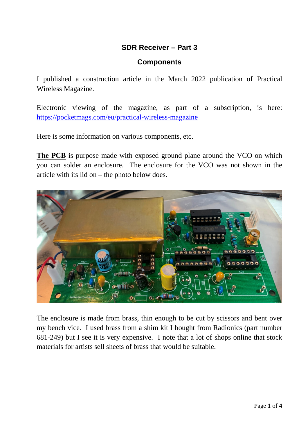# **SDR Receiver – Part 3**

### **Components**

I published a construction article in the March 2022 publication of Practical Wireless Magazine.

Electronic viewing of the magazine, as part of a subscription, is here: <https://pocketmags.com/eu/practical-wireless-magazine>

Here is some information on various components, etc.

**The PCB** is purpose made with exposed ground plane around the VCO on which you can solder an enclosure. The enclosure for the VCO was not shown in the article with its lid on – the photo below does.



The enclosure is made from brass, thin enough to be cut by scissors and bent over my bench vice. I used brass from a shim kit I bought from Radionics (part number 681-249) but I see it is very expensive. I note that a lot of shops online that stock materials for artists sell sheets of brass that would be suitable.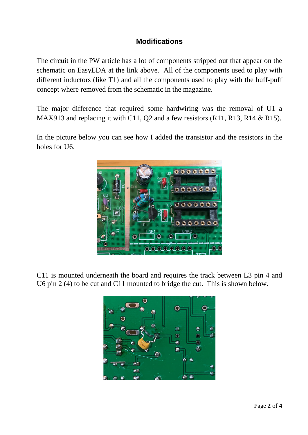# **Modifications**

The circuit in the PW article has a lot of components stripped out that appear on the schematic on EasyEDA at the link above. All of the components used to play with different inductors (like T1) and all the components used to play with the huff-puff concept where removed from the schematic in the magazine.

The major difference that required some hardwiring was the removal of U1 a MAX913 and replacing it with C11, Q2 and a few resistors (R11, R13, R14 & R15).

In the picture below you can see how I added the transistor and the resistors in the holes for U6.



C11 is mounted underneath the board and requires the track between L3 pin 4 and U6 pin 2 (4) to be cut and C11 mounted to bridge the cut. This is shown below.

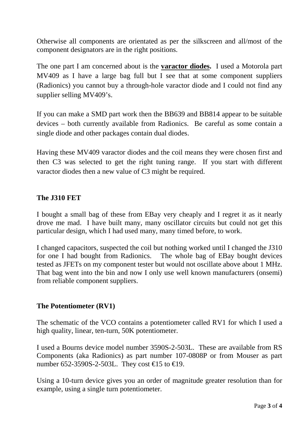Otherwise all components are orientated as per the silkscreen and all/most of the component designators are in the right positions.

The one part I am concerned about is the **varactor diodes.** I used a Motorola part MV409 as I have a large bag full but I see that at some component suppliers (Radionics) you cannot buy a through-hole varactor diode and I could not find any supplier selling MV409's.

If you can make a SMD part work then the BB639 and BB814 appear to be suitable devices – both currently available from Radionics. Be careful as some contain a single diode and other packages contain dual diodes.

Having these MV409 varactor diodes and the coil means they were chosen first and then C3 was selected to get the right tuning range. If you start with different varactor diodes then a new value of C3 might be required.

### **The J310 FET**

I bought a small bag of these from EBay very cheaply and I regret it as it nearly drove me mad. I have built many, many oscillator circuits but could not get this particular design, which I had used many, many timed before, to work.

I changed capacitors, suspected the coil but nothing worked until I changed the J310 for one I had bought from Radionics. The whole bag of EBay bought devices tested as JFETs on my component tester but would not oscillate above about 1 MHz. That bag went into the bin and now I only use well known manufacturers (onsemi) from reliable component suppliers.

### **The Potentiometer (RV1)**

The schematic of the VCO contains a potentiometer called RV1 for which I used a high quality, linear, ten-turn, 50K potentiometer.

I used a Bourns device model number 3590S-2-503L. These are available from RS Components (aka Radionics) as part number 107-0808P or from Mouser as part number 652-3590S-2-503L. They cost €15 to €19.

Using a 10-turn device gives you an order of magnitude greater resolution than for example, using a single turn potentiometer.